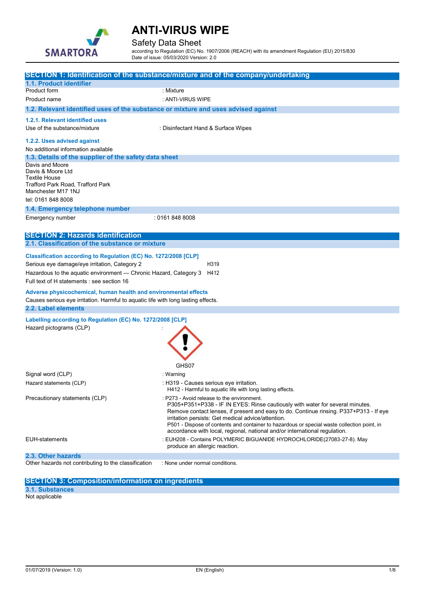

### Safety Data Sheet

according to Regulation (EC) No. 1907/2006 (REACH) with its amendment Regulation (EU) 2015/830 Date of issue: 05/03/2020 Version: 2.0

|                                                                                                                                                                                                                                                     | SECTION 1: Identification of the substance/mixture and of the company/undertaking                                                                                                                                                                                                                                                                                                                                                                        |  |  |
|-----------------------------------------------------------------------------------------------------------------------------------------------------------------------------------------------------------------------------------------------------|----------------------------------------------------------------------------------------------------------------------------------------------------------------------------------------------------------------------------------------------------------------------------------------------------------------------------------------------------------------------------------------------------------------------------------------------------------|--|--|
| 1.1. Product identifier                                                                                                                                                                                                                             |                                                                                                                                                                                                                                                                                                                                                                                                                                                          |  |  |
| Product form                                                                                                                                                                                                                                        | : Mixture                                                                                                                                                                                                                                                                                                                                                                                                                                                |  |  |
| Product name                                                                                                                                                                                                                                        | : ANTI-VIRUS WIPE                                                                                                                                                                                                                                                                                                                                                                                                                                        |  |  |
| 1.2. Relevant identified uses of the substance or mixture and uses advised against                                                                                                                                                                  |                                                                                                                                                                                                                                                                                                                                                                                                                                                          |  |  |
| 1.2.1. Relevant identified uses                                                                                                                                                                                                                     |                                                                                                                                                                                                                                                                                                                                                                                                                                                          |  |  |
| Use of the substance/mixture                                                                                                                                                                                                                        | : Disinfectant Hand & Surface Wipes                                                                                                                                                                                                                                                                                                                                                                                                                      |  |  |
| 1.2.2. Uses advised against<br>No additional information available                                                                                                                                                                                  |                                                                                                                                                                                                                                                                                                                                                                                                                                                          |  |  |
| 1.3. Details of the supplier of the safety data sheet                                                                                                                                                                                               |                                                                                                                                                                                                                                                                                                                                                                                                                                                          |  |  |
| Davis and Moore<br>Davis & Moore Ltd<br><b>Textile House</b><br>Trafford Park Road, Trafford Park<br>Manchester M17 1NJ                                                                                                                             |                                                                                                                                                                                                                                                                                                                                                                                                                                                          |  |  |
| tel: 0161 848 8008                                                                                                                                                                                                                                  |                                                                                                                                                                                                                                                                                                                                                                                                                                                          |  |  |
| 1.4. Emergency telephone number                                                                                                                                                                                                                     |                                                                                                                                                                                                                                                                                                                                                                                                                                                          |  |  |
| Emergency number                                                                                                                                                                                                                                    | : 0161 848 8008                                                                                                                                                                                                                                                                                                                                                                                                                                          |  |  |
| <b>SECTION 2: Hazards identification</b>                                                                                                                                                                                                            |                                                                                                                                                                                                                                                                                                                                                                                                                                                          |  |  |
| 2.1. Classification of the substance or mixture                                                                                                                                                                                                     |                                                                                                                                                                                                                                                                                                                                                                                                                                                          |  |  |
| Classification according to Regulation (EC) No. 1272/2008 [CLP]<br>Serious eye damage/eye irritation, Category 2<br>H319<br>Hazardous to the aquatic environment - Chronic Hazard, Category 3<br>H412<br>Full text of H statements : see section 16 |                                                                                                                                                                                                                                                                                                                                                                                                                                                          |  |  |
| Adverse physicochemical, human health and environmental effects<br>Causes serious eye irritation. Harmful to aquatic life with long lasting effects.<br>2.2. Label elements                                                                         |                                                                                                                                                                                                                                                                                                                                                                                                                                                          |  |  |
|                                                                                                                                                                                                                                                     |                                                                                                                                                                                                                                                                                                                                                                                                                                                          |  |  |
| Labelling according to Regulation (EC) No. 1272/2008 [CLP]<br>Hazard pictograms (CLP)                                                                                                                                                               | GHS07                                                                                                                                                                                                                                                                                                                                                                                                                                                    |  |  |
| Signal word (CLP)                                                                                                                                                                                                                                   | : Warning                                                                                                                                                                                                                                                                                                                                                                                                                                                |  |  |
| Hazard statements (CLP)                                                                                                                                                                                                                             | : H319 - Causes serious eye irritation.<br>H412 - Harmful to aquatic life with long lasting effects.                                                                                                                                                                                                                                                                                                                                                     |  |  |
| Precautionary statements (CLP)                                                                                                                                                                                                                      | : P273 - Avoid release to the environment.<br>P305+P351+P338 - IF IN EYES: Rinse cautiously with water for several minutes.<br>Remove contact lenses, if present and easy to do. Continue rinsing. P337+P313 - If eye<br>irritation persists: Get medical advice/attention.<br>P501 - Dispose of contents and container to hazardous or special waste collection point, in<br>accordance with local, regional, national and/or international regulation. |  |  |
| <b>EUH-statements</b>                                                                                                                                                                                                                               | : EUH208 - Contains POLYMERIC BIGUANIDE HYDROCHLORIDE(27083-27-8). May<br>produce an allergic reaction.                                                                                                                                                                                                                                                                                                                                                  |  |  |
| 2.3. Other hazards                                                                                                                                                                                                                                  |                                                                                                                                                                                                                                                                                                                                                                                                                                                          |  |  |
| Other hazards not contributing to the classification                                                                                                                                                                                                | : None under normal conditions.                                                                                                                                                                                                                                                                                                                                                                                                                          |  |  |

**SECTION 3: Composition/information on ingredients** 

**3.1. Substances**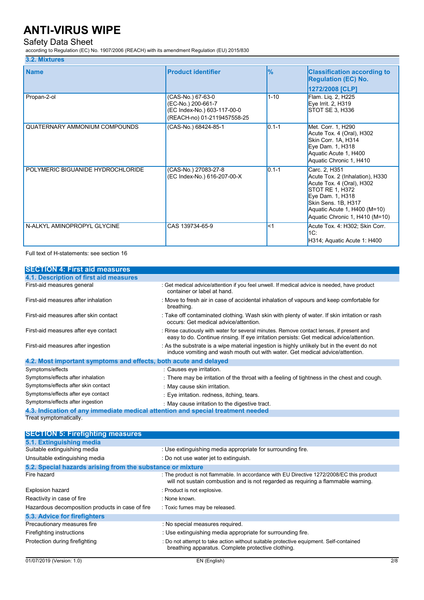## Safety Data Sheet

according to Regulation (EC) No. 1907/2006 (REACH) with its amendment Regulation (EU) 2015/830

### **3.2. Mixtures**

| <b>Name</b>                       | <b>Product identifier</b>                                                                             | $\frac{9}{6}$ | <b>Classification according to</b><br><b>Regulation (EC) No.</b><br> 1272/2008 [CLP]                                                                                                                          |
|-----------------------------------|-------------------------------------------------------------------------------------------------------|---------------|---------------------------------------------------------------------------------------------------------------------------------------------------------------------------------------------------------------|
| Propan-2-ol                       | (CAS-No.) 67-63-0<br>(EC-No.) 200-661-7<br>(EC Index-No.) 603-117-00-0<br>(REACH-no) 01-2119457558-25 | $1 - 10$      | Flam. Lig. 2, H225<br>Eye Irrit. 2, H319<br>STOT SE 3, H336                                                                                                                                                   |
| QUATERNARY AMMONIUM COMPOUNDS     | (CAS-No.) 68424-85-1                                                                                  | $10.1 - 1$    | Met. Corr. 1, H290<br>Acute Tox. 4 (Oral), H302<br>Skin Corr. 1A, H314<br>Eye Dam. 1, H318<br>Aquatic Acute 1, H400<br>Aquatic Chronic 1, H410                                                                |
| POLYMERIC BIGUANIDE HYDROCHLORIDE | (CAS-No.) 27083-27-8<br>(EC Index-No.) 616-207-00-X                                                   | $0.1 - 1$     | Carc. 2, H351<br>Acute Tox. 2 (Inhalation), H330<br>Acute Tox. 4 (Oral), H302<br>STOT RE 1, H372<br>Eye Dam. 1, H318<br>Skin Sens. 1B, H317<br>Aquatic Acute 1, H400 (M=10)<br>Aquatic Chronic 1, H410 (M=10) |
| N-ALKYL AMINOPROPYL GLYCINE       | CAS 139734-65-9                                                                                       | $\leq$ 1      | Acute Tox. 4: H302; Skin Corr.<br>1C.<br>H314; Aquatic Acute 1: H400                                                                                                                                          |

Full text of H-statements: see section 16

| <b>SECTION 4: First aid measures</b>                                            |                                                                                                                                                                                     |  |  |
|---------------------------------------------------------------------------------|-------------------------------------------------------------------------------------------------------------------------------------------------------------------------------------|--|--|
| 4.1. Description of first aid measures                                          |                                                                                                                                                                                     |  |  |
| First-aid measures general                                                      | : Get medical advice/attention if you feel unwell. If medical advice is needed, have product<br>container or label at hand.                                                         |  |  |
| First-aid measures after inhalation                                             | : Move to fresh air in case of accidental inhalation of vapours and keep comfortable for<br>breathing.                                                                              |  |  |
| First-aid measures after skin contact                                           | : Take off contaminated clothing. Wash skin with plenty of water. If skin irritation or rash<br>occurs: Get medical advice/attention.                                               |  |  |
| First-aid measures after eye contact                                            | : Rinse cautiously with water for several minutes. Remove contact lenses, if present and<br>easy to do. Continue rinsing. If eye irritation persists: Get medical advice/attention. |  |  |
| First-aid measures after ingestion                                              | : As the substrate is a wipe material ingestion is highly unlikely but in the event do not<br>induce vomiting and wash mouth out with water. Get medical advice/attention.          |  |  |
| 4.2. Most important symptoms and effects, both acute and delayed                |                                                                                                                                                                                     |  |  |
| Symptoms/effects                                                                | : Causes eye irritation.                                                                                                                                                            |  |  |
| Symptoms/effects after inhalation                                               | : There may be irritation of the throat with a feeling of tightness in the chest and cough.                                                                                         |  |  |
| Symptoms/effects after skin contact                                             | : May cause skin irritation.                                                                                                                                                        |  |  |
| Symptoms/effects after eye contact                                              | : Eye irritation. redness, itching, tears.                                                                                                                                          |  |  |
| Symptoms/effects after ingestion                                                | : May cause irritation to the digestive tract.                                                                                                                                      |  |  |
| 4.3. Indication of any immediate medical attention and special treatment needed |                                                                                                                                                                                     |  |  |
| Treat symptomatically.                                                          |                                                                                                                                                                                     |  |  |

| <b>SECTION 5: Firefighting measures</b>                    |                                                                                                                                                                                |  |
|------------------------------------------------------------|--------------------------------------------------------------------------------------------------------------------------------------------------------------------------------|--|
| 5.1. Extinguishing media                                   |                                                                                                                                                                                |  |
| Suitable extinguishing media                               | : Use extinguishing media appropriate for surrounding fire.                                                                                                                    |  |
| Unsuitable extinguishing media                             | : Do not use water jet to extinguish.                                                                                                                                          |  |
| 5.2. Special hazards arising from the substance or mixture |                                                                                                                                                                                |  |
| Fire hazard                                                | : The product is not flammable. In accordance with EU Directive 1272/2008/EC this product<br>will not sustain combustion and is not regarded as requiring a flammable warning. |  |
| <b>Explosion hazard</b>                                    | : Product is not explosive.                                                                                                                                                    |  |
| Reactivity in case of fire                                 | : None known.                                                                                                                                                                  |  |
| Hazardous decomposition products in case of fire           | : Toxic fumes may be released.                                                                                                                                                 |  |
| 5.3. Advice for firefighters                               |                                                                                                                                                                                |  |
| Precautionary measures fire                                | : No special measures required.                                                                                                                                                |  |
| Firefighting instructions                                  | : Use extinguishing media appropriate for surrounding fire.                                                                                                                    |  |
| Protection during firefighting                             | : Do not attempt to take action without suitable protective equipment. Self-contained<br>breathing apparatus. Complete protective clothing.                                    |  |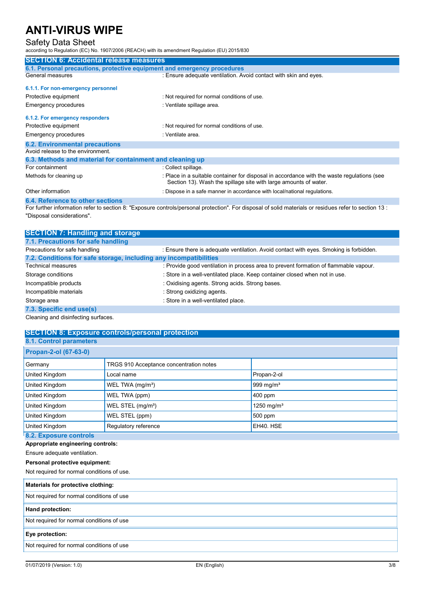## Safety Data Sheet

according to Regulation (EC) No. 1907/2006 (REACH) with its amendment Regulation (EU) 2015/830

| <b>SECTION 6: Accidental release measures</b>                                                                                                                 |                                                                                                                                                                |  |
|---------------------------------------------------------------------------------------------------------------------------------------------------------------|----------------------------------------------------------------------------------------------------------------------------------------------------------------|--|
| 6.1. Personal precautions, protective equipment and emergency procedures                                                                                      |                                                                                                                                                                |  |
| General measures                                                                                                                                              | : Ensure adequate ventilation. Avoid contact with skin and eyes.                                                                                               |  |
| 6.1.1. For non-emergency personnel                                                                                                                            |                                                                                                                                                                |  |
| Protective equipment                                                                                                                                          | : Not required for normal conditions of use.                                                                                                                   |  |
| Emergency procedures                                                                                                                                          | : Ventilate spillage area.                                                                                                                                     |  |
| 6.1.2. For emergency responders                                                                                                                               |                                                                                                                                                                |  |
| Protective equipment                                                                                                                                          | : Not required for normal conditions of use.                                                                                                                   |  |
| Emergency procedures                                                                                                                                          | : Ventilate area.                                                                                                                                              |  |
| <b>6.2. Environmental precautions</b>                                                                                                                         |                                                                                                                                                                |  |
| Avoid release to the environment.                                                                                                                             |                                                                                                                                                                |  |
| 6.3. Methods and material for containment and cleaning up                                                                                                     |                                                                                                                                                                |  |
| For containment                                                                                                                                               | : Collect spillage.                                                                                                                                            |  |
| Methods for cleaning up                                                                                                                                       | : Place in a suitable container for disposal in accordance with the waste regulations (see<br>Section 13). Wash the spillage site with large amounts of water. |  |
| Other information                                                                                                                                             | : Dispose in a safe manner in accordance with local/national requiations.                                                                                      |  |
| 6.4. Reference to other sections                                                                                                                              |                                                                                                                                                                |  |
| $\frac{1}{2}$ Experimental properties to section 8: "Experime controls/personal protoction". Earliepeach of solid materials or residuos refer to section 13 : |                                                                                                                                                                |  |

For further information refer to section 8: "Exposure controls/personal protection". For disposal of solid materials or residues refer to section 13 : "Disposal considerations".

| <b>SECTION 7: Handling and storage</b>                            |                                                                                        |  |
|-------------------------------------------------------------------|----------------------------------------------------------------------------------------|--|
| 7.1. Precautions for safe handling                                |                                                                                        |  |
| Precautions for safe handling                                     | : Ensure there is adequate ventilation. Avoid contact with eyes. Smoking is forbidden. |  |
| 7.2. Conditions for safe storage, including any incompatibilities |                                                                                        |  |
| <b>Technical measures</b>                                         | : Provide good ventilation in process area to prevent formation of flammable vapour.   |  |
| Storage conditions                                                | : Store in a well-ventilated place. Keep container closed when not in use.             |  |
| Incompatible products                                             | : Oxidising agents. Strong acids. Strong bases.                                        |  |
| Incompatible materials                                            | : Strong oxidizing agents.                                                             |  |
| Storage area                                                      | : Store in a well-ventilated place.                                                    |  |
| 7.3. Specific end use(s)                                          |                                                                                        |  |
| Cleaning and disinfecting surfaces.                               |                                                                                        |  |

## **SECTION 8: Exposure controls/personal protection**

| <b>8.1. Control parameters</b> |                                         |                        |
|--------------------------------|-----------------------------------------|------------------------|
| Propan-2-ol (67-63-0)          |                                         |                        |
| Germany                        | TRGS 910 Acceptance concentration notes |                        |
| United Kingdom                 | Local name                              | Propan-2-ol            |
| United Kingdom                 | WEL TWA (mg/m <sup>3</sup> )            | 999 mg/m <sup>3</sup>  |
| United Kingdom                 | WEL TWA (ppm)                           | $400$ ppm              |
| United Kingdom                 | WEL STEL (mg/m <sup>3</sup> )           | 1250 mg/m <sup>3</sup> |
| United Kingdom                 | WEL STEL (ppm)                          | 500 ppm                |
| United Kingdom                 | Regulatory reference                    | EH40. HSE              |
| 8.2. Exposure controls         |                                         |                        |

#### **Appropriate engineering controls:**

Ensure adequate ventilation.

#### **Personal protective equipment:**

Not required for normal conditions of use.

#### **Materials for protective clothing:**

Not required for normal conditions of use

#### **Hand protection:**

#### Not required for normal conditions of use

#### **Eye protection:**

Not required for normal conditions of use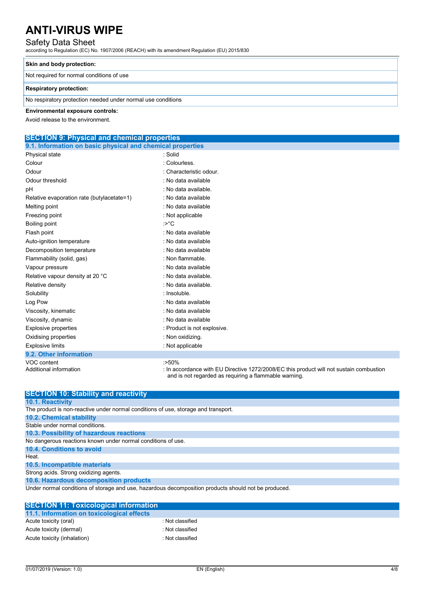### Safety Data Sheet

according to Regulation (EC) No. 1907/2006 (REACH) with its amendment Regulation (EU) 2015/830

#### **Skin and body protection:**

Not required for normal conditions of use

#### **Respiratory protection:**

No respiratory protection needed under normal use conditions

#### **Environmental exposure controls:**

Avoid release to the environment.

# **SECTION 9: Physical and chemical properties**

| 9.1. Information on basic physical and chemical properties |                                                                                                                                                             |  |
|------------------------------------------------------------|-------------------------------------------------------------------------------------------------------------------------------------------------------------|--|
| Physical state                                             | : Solid                                                                                                                                                     |  |
| Colour                                                     | : Colourless.                                                                                                                                               |  |
| Odour                                                      | : Characteristic odour.                                                                                                                                     |  |
| Odour threshold                                            | : No data available                                                                                                                                         |  |
| pH                                                         | : No data available.                                                                                                                                        |  |
| Relative evaporation rate (butylacetate=1)                 | : No data available                                                                                                                                         |  |
| Melting point                                              | : No data available                                                                                                                                         |  |
| Freezing point                                             | : Not applicable                                                                                                                                            |  |
| Boiling point                                              | : $>^{\circ}C$                                                                                                                                              |  |
| Flash point                                                | : No data available                                                                                                                                         |  |
| Auto-ignition temperature                                  | : No data available                                                                                                                                         |  |
| Decomposition temperature                                  | : No data available                                                                                                                                         |  |
| Flammability (solid, gas)                                  | : Non flammable.                                                                                                                                            |  |
| Vapour pressure                                            | : No data available                                                                                                                                         |  |
| Relative vapour density at 20 °C                           | : No data available.                                                                                                                                        |  |
| Relative density                                           | : No data available.                                                                                                                                        |  |
| Solubility                                                 | : Insoluble.                                                                                                                                                |  |
| Log Pow                                                    | : No data available                                                                                                                                         |  |
| Viscosity, kinematic                                       | : No data available                                                                                                                                         |  |
| Viscosity, dynamic                                         | : No data available                                                                                                                                         |  |
| Explosive properties                                       | : Product is not explosive.                                                                                                                                 |  |
| Oxidising properties                                       | : Non oxidizing.                                                                                                                                            |  |
| <b>Explosive limits</b>                                    | : Not applicable                                                                                                                                            |  |
| 9.2. Other information                                     |                                                                                                                                                             |  |
| VOC content<br>Additional information                      | $:50\%$<br>: In accordance with EU Directive 1272/2008/EC this product will not sustain combustion<br>and is not regarded as requiring a flammable warning. |  |

| <b>SECTION 10: Stability and reactivity</b>                                                          |
|------------------------------------------------------------------------------------------------------|
| <b>10.1. Reactivity</b>                                                                              |
| The product is non-reactive under normal conditions of use, storage and transport.                   |
| <b>10.2. Chemical stability</b>                                                                      |
| Stable under normal conditions.                                                                      |
| 10.3. Possibility of hazardous reactions                                                             |
| No dangerous reactions known under normal conditions of use.                                         |
| <b>10.4. Conditions to avoid</b>                                                                     |
| Heat.                                                                                                |
| 10.5. Incompatible materials                                                                         |
| Strong acids. Strong oxidizing agents.                                                               |
| 10.6. Hazardous decomposition products                                                               |
| Under normal conditions of storage and use, hazardous decomposition products should not be produced. |

| <b>SECTION 11: Toxicological information</b> |                  |
|----------------------------------------------|------------------|
| 11.1. Information on toxicological effects   |                  |
| Acute toxicity (oral)                        | : Not classified |
| Acute toxicity (dermal)                      | : Not classified |
| Acute toxicity (inhalation)                  | : Not classified |
|                                              |                  |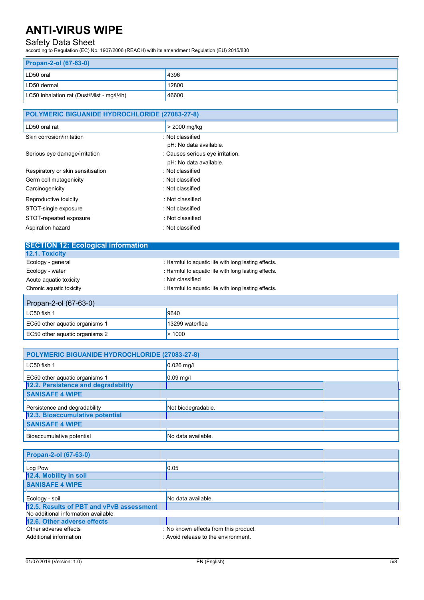# Safety Data Sheet

according to Regulation (EC) No. 1907/2006 (REACH) with its amendment Regulation (EU) 2015/830

| <b>Propan-2-ol (67-63-0)</b>              |       |  |
|-------------------------------------------|-------|--|
| LD50 oral                                 | 4396  |  |
| LD50 dermal                               | 12800 |  |
| LC50 inhalation rat (Dust/Mist - mg/l/4h) | 46600 |  |

| POLYMERIC BIGUANIDE HYDROCHLORIDE (27083-27-8) |                                  |  |
|------------------------------------------------|----------------------------------|--|
| LD50 oral rat                                  | > 2000 mg/kg                     |  |
| Skin corrosion/irritation                      | : Not classified                 |  |
|                                                | pH: No data available.           |  |
| Serious eye damage/irritation                  | : Causes serious eye irritation. |  |
|                                                | pH: No data available.           |  |
| Respiratory or skin sensitisation              | : Not classified                 |  |
| Germ cell mutagenicity                         | : Not classified                 |  |
| Carcinogenicity                                | : Not classified                 |  |
| Reproductive toxicity                          | : Not classified                 |  |
| STOT-single exposure                           | : Not classified                 |  |
| STOT-repeated exposure                         | : Not classified                 |  |
| Aspiration hazard                              | : Not classified                 |  |

| <b>SECTION 12: Ecological information</b> |                                                      |
|-------------------------------------------|------------------------------------------------------|
| 12.1. Toxicity                            |                                                      |
| Ecology - general                         | : Harmful to aquatic life with long lasting effects. |
| Ecology - water                           | : Harmful to aquatic life with long lasting effects. |
| Acute aquatic toxicity                    | : Not classified                                     |
| Chronic aquatic toxicity                  | : Harmful to aquatic life with long lasting effects. |
| Propan-2-ol (67-63-0)                     |                                                      |

| $\blacksquare$<br>$IC50$ fish 1 | 9640            |
|---------------------------------|-----------------|
| EC50 other aquatic organisms 1  | 13299 waterflea |
| EC50 other aquatic organisms 2  | 1000            |

| POLYMERIC BIGUANIDE HYDROCHLORIDE (27083-27-8) |                    |  |
|------------------------------------------------|--------------------|--|
| LC50 fish 1                                    | $0.026$ mg/l       |  |
| EC50 other aquatic organisms 1                 | $0.09$ mg/l        |  |
| 12.2. Persistence and degradability            |                    |  |
| <b>SANISAFE 4 WIPE</b>                         |                    |  |
| Persistence and degradability                  | Not biodegradable. |  |
| 12.3. Bioaccumulative potential                |                    |  |
| <b>SANISAFE 4 WIPE</b>                         |                    |  |
| Bioaccumulative potential                      | No data available. |  |

| Propan-2-ol (67-63-0)                    |                                       |  |
|------------------------------------------|---------------------------------------|--|
| Log Pow                                  | 0.05                                  |  |
| 12.4. Mobility in soil                   |                                       |  |
| <b>SANISAFE 4 WIPE</b>                   |                                       |  |
| Ecology - soil                           | No data available.                    |  |
| 12.5. Results of PBT and vPvB assessment |                                       |  |
| No additional information available      |                                       |  |
| 12.6. Other adverse effects              |                                       |  |
| Other adverse effects                    | : No known effects from this product. |  |
| Additional information                   | : Avoid release to the environment.   |  |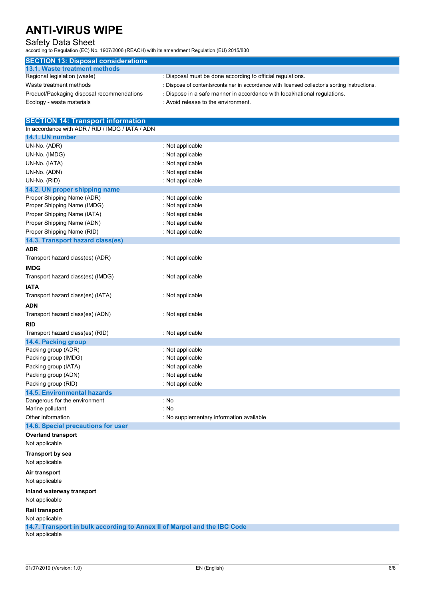## Safety Data Sheet

according to Regulation (EC) No. 1907/2006 (REACH) with its amendment Regulation (EU) 2015/830

| <b>SECTION 13: Disposal considerations</b> |                                                                                               |
|--------------------------------------------|-----------------------------------------------------------------------------------------------|
| 13.1. Waste treatment methods              |                                                                                               |
| Regional legislation (waste)               | : Disposal must be done according to official regulations.                                    |
| Waste treatment methods                    | : Dispose of contents/container in accordance with licensed collector's sorting instructions. |
| Product/Packaging disposal recommendations | : Dispose in a safe manner in accordance with local/national regulations.                     |
| Ecology - waste materials                  | : Avoid release to the environment.                                                           |

# **SECTION 14: Transport information**

| In accordance with ADR / RID / IMDG / IATA / ADN |                                          |
|--------------------------------------------------|------------------------------------------|
| 14.1. UN number                                  |                                          |
| UN-No. (ADR)                                     | : Not applicable                         |
| UN-No. (IMDG)                                    | : Not applicable                         |
| UN-No. (IATA)                                    | : Not applicable                         |
| UN-No. (ADN)                                     | : Not applicable                         |
| UN-No. (RID)                                     | : Not applicable                         |
| 14.2. UN proper shipping name                    |                                          |
| Proper Shipping Name (ADR)                       | : Not applicable                         |
| Proper Shipping Name (IMDG)                      | : Not applicable                         |
| Proper Shipping Name (IATA)                      | : Not applicable                         |
| Proper Shipping Name (ADN)                       | : Not applicable                         |
| Proper Shipping Name (RID)                       | : Not applicable                         |
| 14.3. Transport hazard class(es)                 |                                          |
| <b>ADR</b>                                       |                                          |
| Transport hazard class(es) (ADR)                 | : Not applicable                         |
| <b>IMDG</b>                                      |                                          |
| Transport hazard class(es) (IMDG)                | : Not applicable                         |
| <b>IATA</b>                                      |                                          |
| Transport hazard class(es) (IATA)                | : Not applicable                         |
| <b>ADN</b>                                       |                                          |
| Transport hazard class(es) (ADN)                 | : Not applicable                         |
| <b>RID</b>                                       |                                          |
| Transport hazard class(es) (RID)                 | : Not applicable                         |
| 14.4. Packing group                              |                                          |
| Packing group (ADR)                              | : Not applicable                         |
| Packing group (IMDG)                             | : Not applicable                         |
| Packing group (IATA)                             | : Not applicable                         |
| Packing group (ADN)                              | : Not applicable                         |
| Packing group (RID)                              | : Not applicable                         |
| <b>14.5. Environmental hazards</b>               |                                          |
| Dangerous for the environment                    | : No                                     |
| Marine pollutant                                 | : No                                     |
| Other information                                | : No supplementary information available |
| 14.6. Special precautions for user               |                                          |
| <b>Overland transport</b><br>Not applicable      |                                          |
| <b>Transport by sea</b><br>Not applicable        |                                          |
| Air transport<br>Not applicable                  |                                          |
|                                                  |                                          |

**Inland waterway transport**  Not applicable

**Rail transport** 

Not applicable

**14.7. Transport in bulk according to Annex II of Marpol and the IBC Code** 

Not applicable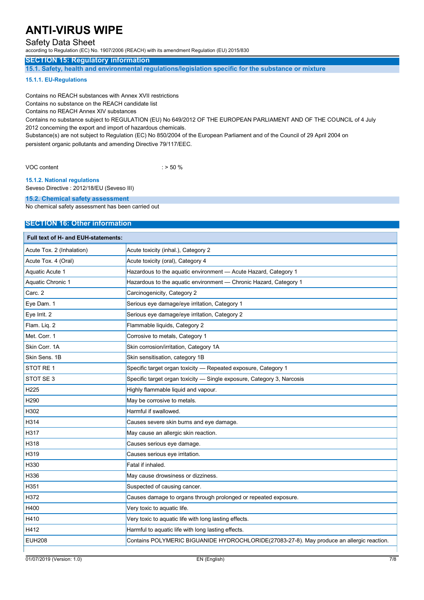## Safety Data Sheet

according to Regulation (EC) No. 1907/2006 (REACH) with its amendment Regulation (EU) 2015/830

### **SECTION 15: Regulatory information**

**15.1. Safety, health and environmental regulations/legislation specific for the substance or mixture** 

#### **15.1.1. EU-Regulations**

Contains no REACH substances with Annex XVII restrictions

Contains no substance on the REACH candidate list

Contains no REACH Annex XIV substances

Contains no substance subject to REGULATION (EU) No 649/2012 OF THE EUROPEAN PARLIAMENT AND OF THE COUNCIL of 4 July 2012 concerning the export and import of hazardous chemicals.

Substance(s) are not subject to Regulation (EC) No 850/2004 of the European Parliament and of the Council of 29 April 2004 on persistent organic pollutants and amending Directive 79/117/EEC.

VOC content  $\sim$   $\sim$  50 %

**15.1.2. National regulations** 

Seveso Directive : 2012/18/EU (Seveso III)

#### **15.2. Chemical safety assessment**

No chemical safety assessment has been carried out

### **SECTION 16: Other information**

| Full text of H- and EUH-statements: |                                                                                           |
|-------------------------------------|-------------------------------------------------------------------------------------------|
| Acute Tox. 2 (Inhalation)           | Acute toxicity (inhal.), Category 2                                                       |
| Acute Tox. 4 (Oral)                 | Acute toxicity (oral), Category 4                                                         |
| Aquatic Acute 1                     | Hazardous to the aquatic environment - Acute Hazard, Category 1                           |
| Aquatic Chronic 1                   | Hazardous to the aquatic environment - Chronic Hazard, Category 1                         |
| Carc. 2                             | Carcinogenicity, Category 2                                                               |
| Eye Dam. 1                          | Serious eye damage/eye irritation, Category 1                                             |
| Eye Irrit. 2                        | Serious eye damage/eye irritation, Category 2                                             |
| Flam. Liq. 2                        | Flammable liquids, Category 2                                                             |
| Met. Corr. 1                        | Corrosive to metals, Category 1                                                           |
| Skin Corr. 1A                       | Skin corrosion/irritation, Category 1A                                                    |
| Skin Sens, 1B                       | Skin sensitisation, category 1B                                                           |
| STOT RE1                            | Specific target organ toxicity - Repeated exposure, Category 1                            |
| STOT SE 3                           | Specific target organ toxicity - Single exposure, Category 3, Narcosis                    |
| H <sub>225</sub>                    | Highly flammable liquid and vapour.                                                       |
| H <sub>290</sub>                    | May be corrosive to metals.                                                               |
| H302                                | Harmful if swallowed.                                                                     |
| H314                                | Causes severe skin burns and eye damage.                                                  |
| H317                                | May cause an allergic skin reaction.                                                      |
| H318                                | Causes serious eye damage.                                                                |
| H319                                | Causes serious eye irritation.                                                            |
| H330                                | Fatal if inhaled.                                                                         |
| H336                                | May cause drowsiness or dizziness.                                                        |
| H351                                | Suspected of causing cancer.                                                              |
| H372                                | Causes damage to organs through prolonged or repeated exposure.                           |
| H400                                | Very toxic to aquatic life.                                                               |
| H410                                | Very toxic to aquatic life with long lasting effects.                                     |
| H412                                | Harmful to aquatic life with long lasting effects.                                        |
| <b>EUH208</b>                       | Contains POLYMERIC BIGUANIDE HYDROCHLORIDE(27083-27-8). May produce an allergic reaction. |